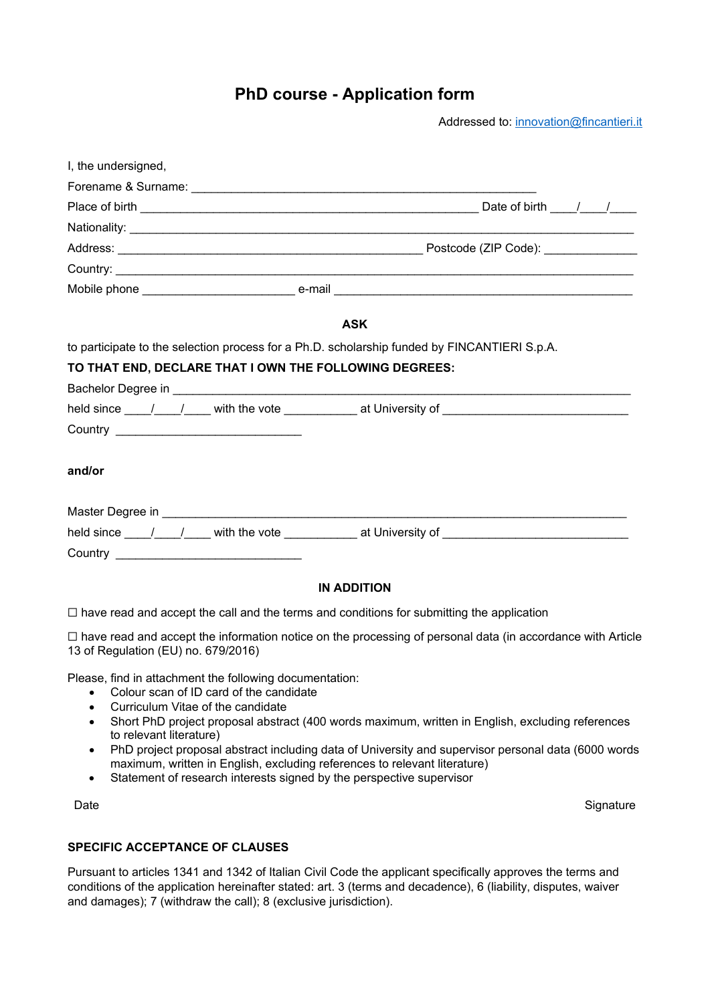# **PhD course - Application form**

Addressed to: innovation@fincantieri.it

| I, the undersigned,                                                                                                                                    |                                                                                                                                              |
|--------------------------------------------------------------------------------------------------------------------------------------------------------|----------------------------------------------------------------------------------------------------------------------------------------------|
|                                                                                                                                                        |                                                                                                                                              |
|                                                                                                                                                        |                                                                                                                                              |
|                                                                                                                                                        |                                                                                                                                              |
|                                                                                                                                                        |                                                                                                                                              |
|                                                                                                                                                        |                                                                                                                                              |
|                                                                                                                                                        |                                                                                                                                              |
|                                                                                                                                                        | <b>ASK</b>                                                                                                                                   |
| to participate to the selection process for a Ph.D. scholarship funded by FINCANTIERI S.p.A.<br>TO THAT END, DECLARE THAT I OWN THE FOLLOWING DEGREES: |                                                                                                                                              |
|                                                                                                                                                        |                                                                                                                                              |
| and/or                                                                                                                                                 |                                                                                                                                              |
|                                                                                                                                                        |                                                                                                                                              |
|                                                                                                                                                        | held since $\frac{1}{\sqrt{1-\frac{1}{2}}}$ with the vote $\frac{1}{\sqrt{1-\frac{1}{2}}}$ at University of $\frac{1}{\sqrt{1-\frac{1}{2}}}$ |

#### **IN ADDITION**

☐ have read and accept the call and the terms and conditions for submitting the application

☐ have read and accept the information notice on the processing of personal data (in accordance with Article 13 of Regulation (EU) no. 679/2016)

Please, find in attachment the following documentation:

- Colour scan of ID card of the candidate
- Curriculum Vitae of the candidate
- Short PhD project proposal abstract (400 words maximum, written in English, excluding references to relevant literature)
- PhD project proposal abstract including data of University and supervisor personal data (6000 words maximum, written in English, excluding references to relevant literature)
- Statement of research interests signed by the perspective supervisor

Date Signature

#### **SPECIFIC ACCEPTANCE OF CLAUSES**

Pursuant to articles 1341 and 1342 of Italian Civil Code the applicant specifically approves the terms and conditions of the application hereinafter stated: art. 3 (terms and decadence), 6 (liability, disputes, waiver and damages); 7 (withdraw the call); 8 (exclusive jurisdiction).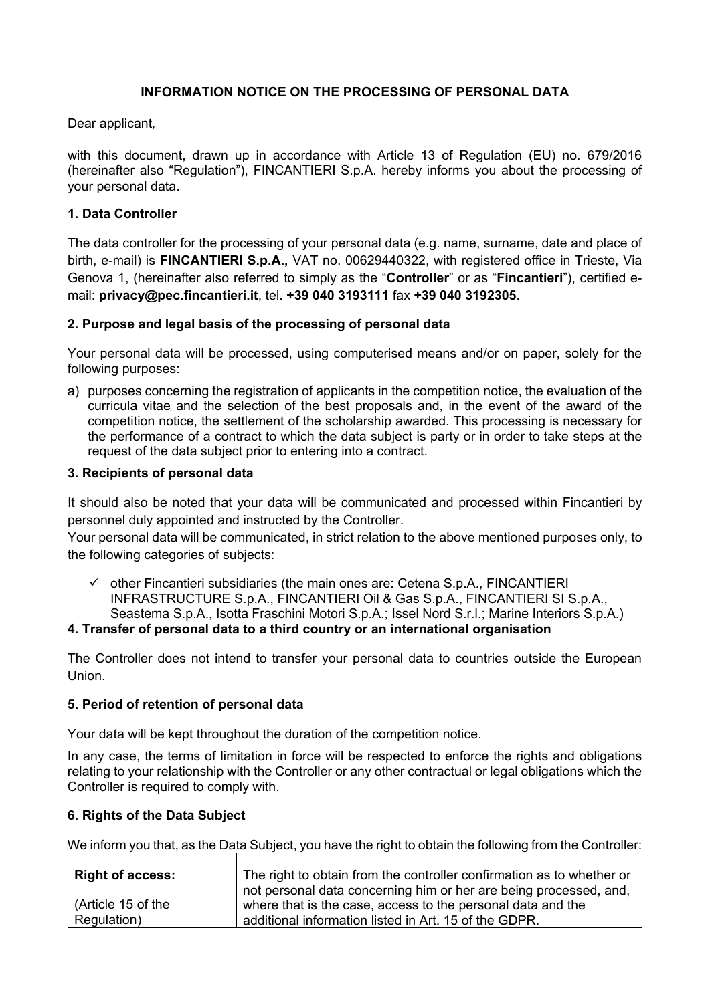## **INFORMATION NOTICE ON THE PROCESSING OF PERSONAL DATA**

Dear applicant*,* 

with this document, drawn up in accordance with Article 13 of Regulation (EU) no. 679/2016 (hereinafter also "Regulation"), FINCANTIERI S.p.A. hereby informs you about the processing of your personal data.

#### **1. Data Controller**

The data controller for the processing of your personal data (e.g. name, surname, date and place of birth, e-mail) is **FINCANTIERI S.p.A.,** VAT no. 00629440322, with registered office in Trieste, Via Genova 1, (hereinafter also referred to simply as the "**Controller**" or as "**Fincantieri**"), certified email: **privacy@pec.fincantieri.it**, tel. **+39 040 3193111** fax **+39 040 3192305**.

#### **2. Purpose and legal basis of the processing of personal data**

Your personal data will be processed, using computerised means and/or on paper, solely for the following purposes:

a) purposes concerning the registration of applicants in the competition notice, the evaluation of the curricula vitae and the selection of the best proposals and, in the event of the award of the competition notice, the settlement of the scholarship awarded. This processing is necessary for the performance of a contract to which the data subject is party or in order to take steps at the request of the data subject prior to entering into a contract.

#### **3. Recipients of personal data**

It should also be noted that your data will be communicated and processed within Fincantieri by personnel duly appointed and instructed by the Controller.

Your personal data will be communicated, in strict relation to the above mentioned purposes only, to the following categories of subjects:

 $\checkmark$  other Fincantieri subsidiaries (the main ones are: Cetena S.p.A., FINCANTIERI INFRASTRUCTURE S.p.A., FINCANTIERI Oil & Gas S.p.A., FINCANTIERI SI S.p.A., Seastema S.p.A., Isotta Fraschini Motori S.p.A.; Issel Nord S.r.l.; Marine Interiors S.p.A.)

#### **4. Transfer of personal data to a third country or an international organisation**

The Controller does not intend to transfer your personal data to countries outside the European Union.

### **5. Period of retention of personal data**

Your data will be kept throughout the duration of the competition notice.

In any case, the terms of limitation in force will be respected to enforce the rights and obligations relating to your relationship with the Controller or any other contractual or legal obligations which the Controller is required to comply with.

### **6. Rights of the Data Subject**

We inform you that, as the Data Subject, you have the right to obtain the following from the Controller:

| <b>Right of access:</b> | The right to obtain from the controller confirmation as to whether or |
|-------------------------|-----------------------------------------------------------------------|
|                         | not personal data concerning him or her are being processed, and,     |
| (Article 15 of the      | where that is the case, access to the personal data and the           |
| Regulation)             | additional information listed in Art. 15 of the GDPR.                 |